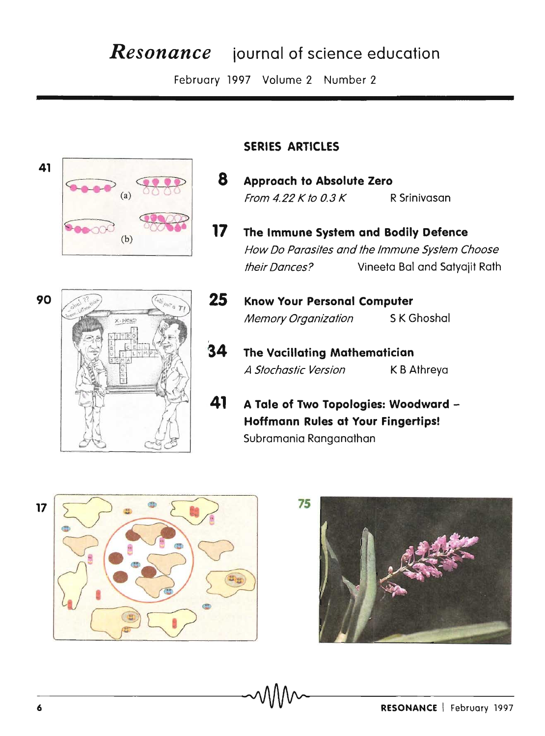# *Resonance* journal of science education

February 1997 Volume 2 Number 2



# **SERIES ARTICLES**

- **8 Approach to Absolute Zero**  From 4.22 K to 0.3 K R Srinivasan
- **17 The Immune System and Bodily Defence**  How Do Parasites and the Immune System Choose their Dances? Vineeta Bal and Satyajit Rath



- **25 Know Your Personal Computer**  Memory Organization SK Ghoshal
- **34 The Vacillating Mathematician**  A Stochastic Version K B Athreya
- **41 A Tale of Two Topologies: Woodward - Hoffmann Rules at Your Fingertips!**  Subramania Ranganathan



**7S**